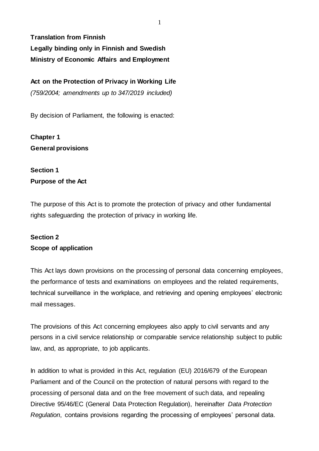**Translation from Finnish Legally binding only in Finnish and Swedish Ministry of Economic Affairs and Employment**

**Act on the Protection of Privacy in Working Life**  *(759/2004; amendments up to 347/2019 included)* 

By decision of Parliament, the following is enacted:

**Chapter 1 General provisions**

# **Section 1 Purpose of the Act**

The purpose of this Act is to promote the protection of privacy and other fundamental rights safeguarding the protection of privacy in working life.

### **Section 2 Scope of application**

This Act lays down provisions on the processing of personal data concerning employees, the performance of tests and examinations on employees and the related requirements, technical surveillance in the workplace, and retrieving and opening employees' electronic mail messages.

The provisions of this Act concerning employees also apply to civil servants and any persons in a civil service relationship or comparable service relationship subject to public law, and, as appropriate, to job applicants.

In addition to what is provided in this Act, regulation (EU) 2016/679 of the European Parliament and of the Council on the protection of natural persons with regard to the processing of personal data and on the free movement of such data, and repealing Directive 95/46/EC (General Data Protection Regulation), hereinafter *Data Protection Regulation*, contains provisions regarding the processing of employees' personal data.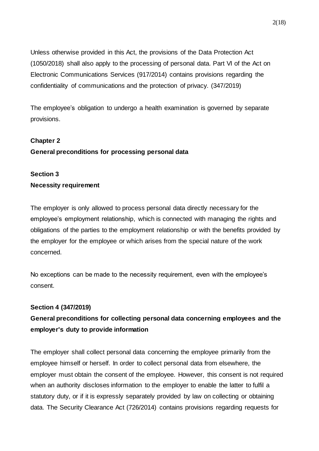Unless otherwise provided in this Act, the provisions of the Data Protection Act (1050/2018) shall also apply to the processing of personal data. Part VI of the Act on Electronic Communications Services (917/2014) contains provisions regarding the confidentiality of communications and the protection of privacy. (347/2019)

The employee's obligation to undergo a health examination is governed by separate provisions.

### **Chapter 2**

### **General preconditions for processing personal data**

## **Section 3 Necessity requirement**

The employer is only allowed to process personal data directly necessary for the employee's employment relationship, which is connected with managing the rights and obligations of the parties to the employment relationship or with the benefits provided by the employer for the employee or which arises from the special nature of the work concerned.

No exceptions can be made to the necessity requirement, even with the employee's consent.

#### **Section 4 (347/2019)**

# **General preconditions for collecting personal data concerning employees and the employer's duty to provide information**

The employer shall collect personal data concerning the employee primarily from the employee himself or herself. In order to collect personal data from elsewhere, the employer must obtain the consent of the employee. However, this consent is not required when an authority discloses information to the employer to enable the latter to fulfil a statutory duty, or if it is expressly separately provided by law on collecting or obtaining data. The Security Clearance Act (726/2014) contains provisions regarding requests for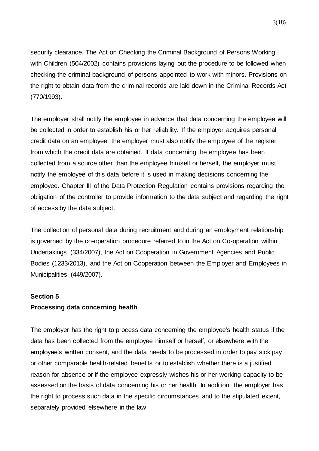security clearance. The Act on Checking the Criminal Background of Persons Working with Children (504/2002) contains provisions laying out the procedure to be followed when checking the criminal background of persons appointed to work with minors. Provisions on the right to obtain data from the criminal records are laid down in the Criminal Records Act (770/1993).

The employer shall notify the employee in advance that data concerning the employee will be collected in order to establish his or her reliability. If the employer acquires personal credit data on an employee, the employer must also notify the employee of the register from which the credit data are obtained. If data concerning the employee has been collected from a source other than the employee himself or herself, the employer must notify the employee of this data before it is used in making decisions concerning the employee. Chapter III of the Data Protection Regulation contains provisions regarding the obligation of the controller to provide information to the data subject and regarding the right of access by the data subject.

The collection of personal data during recruitment and during an employment relationship is governed by the co-operation procedure referred to in the Act on Co-operation within Undertakings (334/2007), the Act on Cooperation in Government Agencies and Public Bodies (1233/2013), and the Act on Cooperation between the Employer and Employees in Municipalities (449/2007).

#### **Section 5**

#### **Processing data concerning health**

The employer has the right to process data concerning the employee's health status if the data has been collected from the employee himself or herself, or elsewhere with the employee's written consent, and the data needs to be processed in order to pay sick pay or other comparable health-related benefits or to establish whether there is a justified reason for absence or if the employee expressly wishes his or her working capacity to be assessed on the basis of data concerning his or her health. In addition, the employer has the right to process such data in the specific circumstances, and to the stipulated extent, separately provided elsewhere in the law.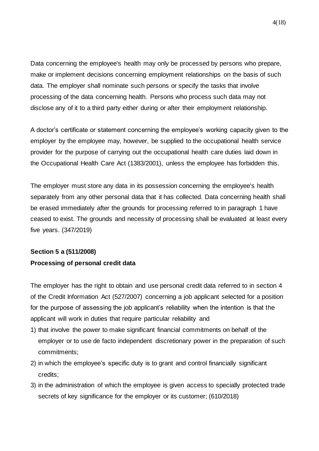Data concerning the employee's health may only be processed by persons who prepare, make or implement decisions concerning employment relationships on the basis of such data. The employer shall nominate such persons or specify the tasks that involve processing of the data concerning health. Persons who process such data may not disclose any of it to a third party either during or after their employment relationship.

A doctor's certificate or statement concerning the employee's working capacity given to the employer by the employee may, however, be supplied to the occupational health service provider for the purpose of carrying out the occupational health care duties laid down in the Occupational Health Care Act (1383/2001), unless the employee has forbidden this.

The employer must store any data in its possession concerning the employee's health separately from any other personal data that it has collected. Data concerning health shall be erased immediately after the grounds for processing referred to in paragraph 1 have ceased to exist. The grounds and necessity of processing shall be evaluated at least every five years. (347/2019)

# **Section 5 a (511/2008) Processing of personal credit data**

The employer has the right to obtain and use personal credit data referred to in section 4 of the Credit Information Act (527/2007) concerning a job applicant selected for a position for the purpose of assessing the job applicant's reliability when the intention is that the applicant will work in duties that require particular reliability and

- 1) that involve the power to make significant financial commitments on behalf of the employer or to use de facto independent discretionary power in the preparation of such commitments;
- 2) in which the employee's specific duty is to grant and control financially significant credits;
- 3) in the administration of which the employee is given access to specially protected trade secrets of key significance for the employer or its customer; (610/2018)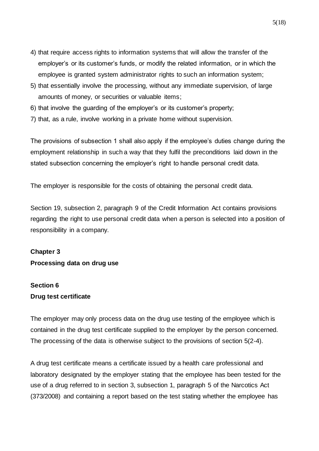- 4) that require access rights to information systems that will allow the transfer of the employer's or its customer's funds, or modify the related information, or in which the employee is granted system administrator rights to such an information system;
- 5) that essentially involve the processing, without any immediate supervision, of large amounts of money, or securities or valuable items;
- 6) that involve the guarding of the employer's or its customer's property;
- 7) that, as a rule, involve working in a private home without supervision.

The provisions of subsection 1 shall also apply if the employee's duties change during the employment relationship in such a way that they fulfil the preconditions laid down in the stated subsection concerning the employer's right to handle personal credit data.

The employer is responsible for the costs of obtaining the personal credit data.

Section 19, subsection 2, paragraph 9 of the Credit Information Act contains provisions regarding the right to use personal credit data when a person is selected into a position of responsibility in a company.

# **Chapter 3 Processing data on drug use**

## **Section 6 Drug test certificate**

The employer may only process data on the drug use testing of the employee which is contained in the drug test certificate supplied to the employer by the person concerned. The processing of the data is otherwise subject to the provisions of section 5(2-4).

A drug test certificate means a certificate issued by a health care professional and laboratory designated by the employer stating that the employee has been tested for the use of a drug referred to in section 3, subsection 1, paragraph 5 of the Narcotics Act (373/2008) and containing a report based on the test stating whether the employee has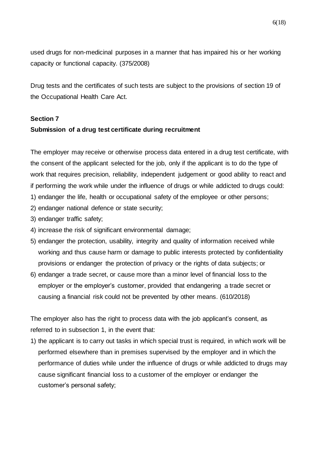used drugs for non-medicinal purposes in a manner that has impaired his or her working capacity or functional capacity. (375/2008)

Drug tests and the certificates of such tests are subject to the provisions of section 19 of the Occupational Health Care Act.

### **Section 7**

### **Submission of a drug test certificate during recruitment**

The employer may receive or otherwise process data entered in a drug test certificate, with the consent of the applicant selected for the job, only if the applicant is to do the type of work that requires precision, reliability, independent judgement or good ability to react and if performing the work while under the influence of drugs or while addicted to drugs could: 1) endanger the life, health or occupational safety of the employee or other persons;

- 2) endanger national defence or state security;
- 3) endanger traffic safety;
- 4) increase the risk of significant environmental damage;
- 5) endanger the protection, usability, integrity and quality of information received while working and thus cause harm or damage to public interests protected by confidentiality provisions or endanger the protection of privacy or the rights of data subjects; or
- 6) endanger a trade secret, or cause more than a minor level of financial loss to the employer or the employer's customer, provided that endangering a trade secret or causing a financial risk could not be prevented by other means. (610/2018)

The employer also has the right to process data with the job applicant's consent, as referred to in subsection 1, in the event that:

1) the applicant is to carry out tasks in which special trust is required, in which work will be performed elsewhere than in premises supervised by the employer and in which the performance of duties while under the influence of drugs or while addicted to drugs may cause significant financial loss to a customer of the employer or endanger the customer's personal safety;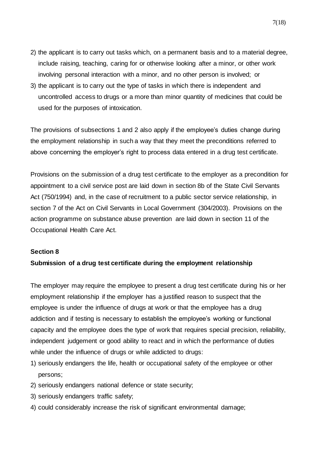- 2) the applicant is to carry out tasks which, on a permanent basis and to a material degree, include raising, teaching, caring for or otherwise looking after a minor, or other work involving personal interaction with a minor, and no other person is involved; or
- 3) the applicant is to carry out the type of tasks in which there is independent and uncontrolled access to drugs or a more than minor quantity of medicines that could be used for the purposes of intoxication.

The provisions of subsections 1 and 2 also apply if the employee's duties change during the employment relationship in such a way that they meet the preconditions referred to above concerning the employer's right to process data entered in a drug test certificate.

Provisions on the submission of a drug test certificate to the employer as a precondition for appointment to a civil service post are laid down in section 8b of the State Civil Servants Act (750/1994) and, in the case of recruitment to a public sector service relationship, in section 7 of the Act on Civil Servants in Local Government (304/2003). Provisions on the action programme on substance abuse prevention are laid down in section 11 of the Occupational Health Care Act.

#### **Section 8**

#### **Submission of a drug test certificate during the employment relationship**

The employer may require the employee to present a drug test certificate during his or her employment relationship if the employer has a justified reason to suspect that the employee is under the influence of drugs at work or that the employee has a drug addiction and if testing is necessary to establish the employee's working or functional capacity and the employee does the type of work that requires special precision, reliability, independent judgement or good ability to react and in which the performance of duties while under the influence of drugs or while addicted to drugs:

- 1) seriously endangers the life, health or occupational safety of the employee or other persons;
- 2) seriously endangers national defence or state security;
- 3) seriously endangers traffic safety;
- 4) could considerably increase the risk of significant environmental damage;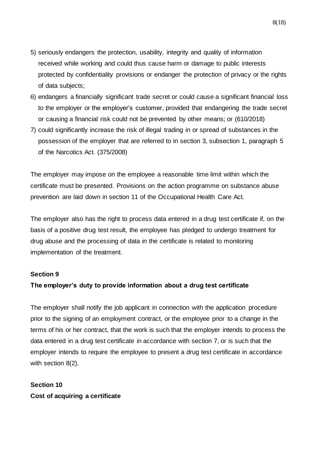- 5) seriously endangers the protection, usability, integrity and quality of information received while working and could thus cause harm or damage to public interests protected by confidentiality provisions or endanger the protection of privacy or the rights of data subjects;
- 6) endangers a financially significant trade secret or could cause a significant financial loss to the employer or the employer's customer, provided that endangering the trade secret or causing a financial risk could not be prevented by other means; or (610/2018)
- 7) could significantly increase the risk of illegal trading in or spread of substances in the possession of the employer that are referred to in section 3, subsection 1, paragraph 5 of the Narcotics Act. (375/2008)

The employer may impose on the employee a reasonable time limit within which the certificate must be presented. Provisions on the action programme on substance abuse prevention are laid down in section 11 of the Occupational Health Care Act.

The employer also has the right to process data entered in a drug test certificate if, on the basis of a positive drug test result, the employee has pledged to undergo treatment for drug abuse and the processing of data in the certificate is related to monitoring implementation of the treatment.

#### **Section 9**

### **The employer's duty to provide information about a drug test certificate**

The employer shall notify the job applicant in connection with the application procedure prior to the signing of an employment contract, or the employee prior to a change in the terms of his or her contract, that the work is such that the employer intends to process the data entered in a drug test certificate in accordance with section 7, or is such that the employer intends to require the employee to present a drug test certificate in accordance with section 8(2).

# **Section 10 Cost of acquiring a certificate**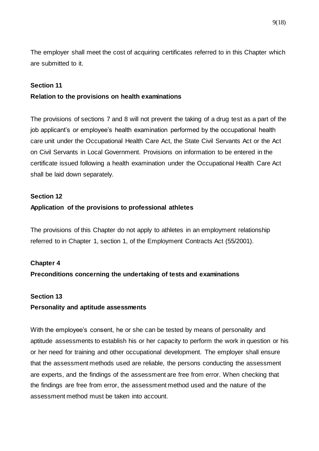The employer shall meet the cost of acquiring certificates referred to in this Chapter which are submitted to it.

#### **Section 11**

#### **Relation to the provisions on health examinations**

The provisions of sections 7 and 8 will not prevent the taking of a drug test as a part of the job applicant's or employee's health examination performed by the occupational health care unit under the Occupational Health Care Act, the State Civil Servants Act or the Act on Civil Servants in Local Government. Provisions on information to be entered in the certificate issued following a health examination under the Occupational Health Care Act shall be laid down separately.

### **Section 12**

### **Application of the provisions to professional athletes**

The provisions of this Chapter do not apply to athletes in an employment relationship referred to in Chapter 1, section 1, of the Employment Contracts Act (55/2001).

#### **Chapter 4**

### **Preconditions concerning the undertaking of tests and examinations**

#### **Section 13**

#### **Personality and aptitude assessments**

With the employee's consent, he or she can be tested by means of personality and aptitude assessments to establish his or her capacity to perform the work in question or his or her need for training and other occupational development. The employer shall ensure that the assessment methods used are reliable, the persons conducting the assessment are experts, and the findings of the assessment are free from error. When checking that the findings are free from error, the assessment method used and the nature of the assessment method must be taken into account.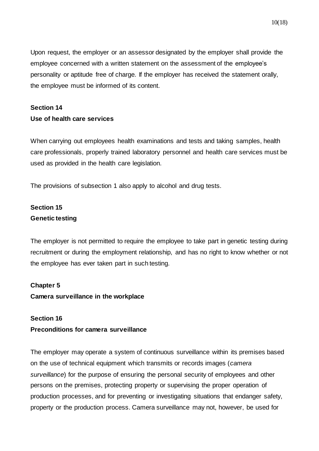Upon request, the employer or an assessor designated by the employer shall provide the employee concerned with a written statement on the assessment of the employee's personality or aptitude free of charge. If the employer has received the statement orally, the employee must be informed of its content.

# **Section 14 Use of health care services**

When carrying out employees health examinations and tests and taking samples, health care professionals, properly trained laboratory personnel and health care services must be used as provided in the health care legislation.

The provisions of subsection 1 also apply to alcohol and drug tests.

# **Section 15 Genetic testing**

The employer is not permitted to require the employee to take part in genetic testing during recruitment or during the employment relationship, and has no right to know whether or not the employee has ever taken part in such testing.

### **Chapter 5**

**Camera surveillance in the workplace**

### **Section 16**

### **Preconditions for camera surveillance**

The employer may operate a system of continuous surveillance within its premises based on the use of technical equipment which transmits or records images (*camera surveillance*) for the purpose of ensuring the personal security of employees and other persons on the premises, protecting property or supervising the proper operation of production processes, and for preventing or investigating situations that endanger safety, property or the production process. Camera surveillance may not, however, be used for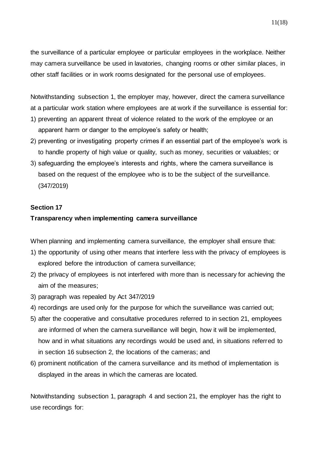the surveillance of a particular employee or particular employees in the workplace. Neither may camera surveillance be used in lavatories, changing rooms or other similar places, in other staff facilities or in work rooms designated for the personal use of employees.

Notwithstanding subsection 1, the employer may, however, direct the camera surveillance at a particular work station where employees are at work if the surveillance is essential for:

- 1) preventing an apparent threat of violence related to the work of the employee or an apparent harm or danger to the employee's safety or health;
- 2) preventing or investigating property crimes if an essential part of the employee's work is to handle property of high value or quality, such as money, securities or valuables; or
- 3) safeguarding the employee's interests and rights, where the camera surveillance is based on the request of the employee who is to be the subject of the surveillance. (347/2019)

### **Section 17**

#### **Transparency when implementing camera surveillance**

When planning and implementing camera surveillance, the employer shall ensure that:

- 1) the opportunity of using other means that interfere less with the privacy of employees is explored before the introduction of camera surveillance;
- 2) the privacy of employees is not interfered with more than is necessary for achieving the aim of the measures;
- 3) paragraph was repealed by Act 347/2019
- 4) recordings are used only for the purpose for which the surveillance was carried out;
- 5) after the cooperative and consultative procedures referred to in section 21, employees are informed of when the camera surveillance will begin, how it will be implemented, how and in what situations any recordings would be used and, in situations referred to in section 16 subsection 2, the locations of the cameras; and
- 6) prominent notification of the camera surveillance and its method of implementation is displayed in the areas in which the cameras are located.

Notwithstanding subsection 1, paragraph 4 and section 21, the employer has the right to use recordings for: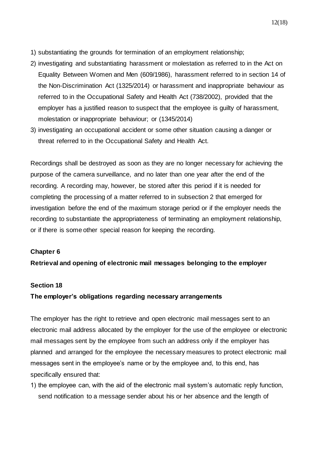- 1) substantiating the grounds for termination of an employment relationship;
- 2) investigating and substantiating harassment or molestation as referred to in the Act on Equality Between Women and Men (609/1986), harassment referred to in section 14 of the Non-Discrimination Act (1325/2014) or harassment and inappropriate behaviour as referred to in the Occupational Safety and Health Act (738/2002), provided that the employer has a justified reason to suspect that the employee is guilty of harassment, molestation or inappropriate behaviour; or (1345/2014)
- 3) investigating an occupational accident or some other situation causing a danger or threat referred to in the Occupational Safety and Health Act.

Recordings shall be destroyed as soon as they are no longer necessary for achieving the purpose of the camera surveillance, and no later than one year after the end of the recording. A recording may, however, be stored after this period if it is needed for completing the processing of a matter referred to in subsection 2 that emerged for investigation before the end of the maximum storage period or if the employer needs the recording to substantiate the appropriateness of terminating an employment relationship, or if there is some other special reason for keeping the recording.

### **Chapter 6**

**Retrieval and opening of electronic mail messages belonging to the employer**

#### **Section 18**

### **The employer's obligations regarding necessary arrangements**

The employer has the right to retrieve and open electronic mail messages sent to an electronic mail address allocated by the employer for the use of the employee or electronic mail messages sent by the employee from such an address only if the employer has planned and arranged for the employee the necessary measures to protect electronic mail messages sent in the employee's name or by the employee and, to this end, has specifically ensured that:

1) the employee can, with the aid of the electronic mail system's automatic reply function, send notification to a message sender about his or her absence and the length of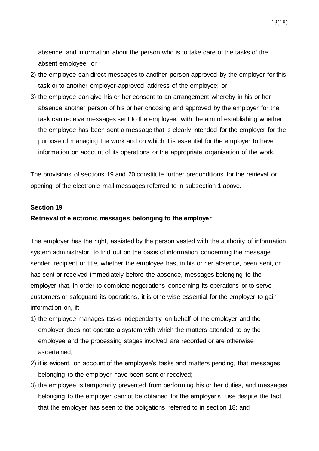absence, and information about the person who is to take care of the tasks of the absent employee; or

- 2) the employee can direct messages to another person approved by the employer for this task or to another employer-approved address of the employee; or
- 3) the employee can give his or her consent to an arrangement whereby in his or her absence another person of his or her choosing and approved by the employer for the task can receive messages sent to the employee, with the aim of establishing whether the employee has been sent a message that is clearly intended for the employer for the purpose of managing the work and on which it is essential for the employer to have information on account of its operations or the appropriate organisation of the work.

The provisions of sections 19 and 20 constitute further preconditions for the retrieval or opening of the electronic mail messages referred to in subsection 1 above.

#### **Section 19**

#### **Retrieval of electronic messages belonging to the employer**

The employer has the right, assisted by the person vested with the authority of information system administrator, to find out on the basis of information concerning the message sender, recipient or title, whether the employee has, in his or her absence, been sent, or has sent or received immediately before the absence, messages belonging to the employer that, in order to complete negotiations concerning its operations or to serve customers or safeguard its operations, it is otherwise essential for the employer to gain information on, if:

- 1) the employee manages tasks independently on behalf of the employer and the employer does not operate a system with which the matters attended to by the employee and the processing stages involved are recorded or are otherwise ascertained;
- 2) it is evident, on account of the employee's tasks and matters pending, that messages belonging to the employer have been sent or received;
- 3) the employee is temporarily prevented from performing his or her duties, and messages belonging to the employer cannot be obtained for the employer's use despite the fact that the employer has seen to the obligations referred to in section 18; and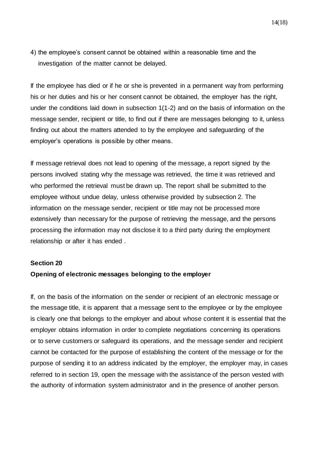If the employee has died or if he or she is prevented in a permanent way from performing his or her duties and his or her consent cannot be obtained, the employer has the right, under the conditions laid down in subsection 1(1-2) and on the basis of information on the message sender, recipient or title, to find out if there are messages belonging to it, unless finding out about the matters attended to by the employee and safeguarding of the employer's operations is possible by other means.

If message retrieval does not lead to opening of the message, a report signed by the persons involved stating why the message was retrieved, the time it was retrieved and who performed the retrieval must be drawn up. The report shall be submitted to the employee without undue delay, unless otherwise provided by subsection 2. The information on the message sender, recipient or title may not be processed more extensively than necessary for the purpose of retrieving the message, and the persons processing the information may not disclose it to a third party during the employment relationship or after it has ended .

#### **Section 20**

### **Opening of electronic messages belonging to the employer**

If, on the basis of the information on the sender or recipient of an electronic message or the message title, it is apparent that a message sent to the employee or by the employee is clearly one that belongs to the employer and about whose content it is essential that the employer obtains information in order to complete negotiations concerning its operations or to serve customers or safeguard its operations, and the message sender and recipient cannot be contacted for the purpose of establishing the content of the message or for the purpose of sending it to an address indicated by the employer, the employer may, in cases referred to in section 19, open the message with the assistance of the person vested with the authority of information system administrator and in the presence of another person.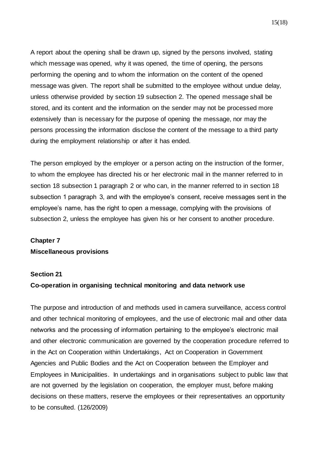A report about the opening shall be drawn up, signed by the persons involved, stating which message was opened, why it was opened, the time of opening, the persons performing the opening and to whom the information on the content of the opened message was given. The report shall be submitted to the employee without undue delay, unless otherwise provided by section 19 subsection 2. The opened message shall be stored, and its content and the information on the sender may not be processed more extensively than is necessary for the purpose of opening the message, nor may the persons processing the information disclose the content of the message to a third party during the employment relationship or after it has ended.

The person employed by the employer or a person acting on the instruction of the former, to whom the employee has directed his or her electronic mail in the manner referred to in section 18 subsection 1 paragraph 2 or who can, in the manner referred to in section 18 subsection 1 paragraph 3, and with the employee's consent, receive messages sent in the employee's name, has the right to open a message, complying with the provisions of subsection 2, unless the employee has given his or her consent to another procedure.

# **Chapter 7 Miscellaneous provisions**

### **Section 21**

#### **Co-operation in organising technical monitoring and data network use**

The purpose and introduction of and methods used in camera surveillance, access control and other technical monitoring of employees, and the use of electronic mail and other data networks and the processing of information pertaining to the employee's electronic mail and other electronic communication are governed by the cooperation procedure referred to in the Act on Cooperation within Undertakings, Act on Cooperation in Government Agencies and Public Bodies and the Act on Cooperation between the Employer and Employees in Municipalities. In undertakings and in organisations subject to public law that are not governed by the legislation on cooperation, the employer must, before making decisions on these matters, reserve the employees or their representatives an opportunity to be consulted. (126/2009)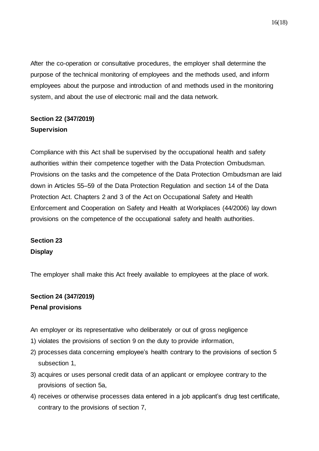After the co-operation or consultative procedures, the employer shall determine the purpose of the technical monitoring of employees and the methods used, and inform employees about the purpose and introduction of and methods used in the monitoring system, and about the use of electronic mail and the data network.

# **Section 22 (347/2019) Supervision**

Compliance with this Act shall be supervised by the occupational health and safety authorities within their competence together with the Data Protection Ombudsman. Provisions on the tasks and the competence of the Data Protection Ombudsman are laid down in Articles 55–59 of the Data Protection Regulation and section 14 of the Data Protection Act. Chapters 2 and 3 of the Act on Occupational Safety and Health Enforcement and Cooperation on Safety and Health at Workplaces (44/2006) lay down provisions on the competence of the occupational safety and health authorities.

# **Section 23 Display**

The employer shall make this Act freely available to employees at the place of work.

# **Section 24 (347/2019) Penal provisions**

An employer or its representative who deliberately or out of gross negligence

- 1) violates the provisions of section 9 on the duty to provide information,
- 2) processes data concerning employee's health contrary to the provisions of section 5 subsection 1,
- 3) acquires or uses personal credit data of an applicant or employee contrary to the provisions of section 5a,
- 4) receives or otherwise processes data entered in a job applicant's drug test certificate, contrary to the provisions of section 7,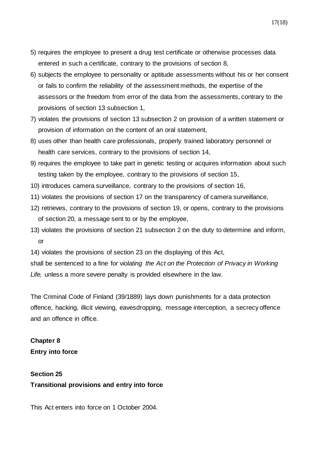- 5) requires the employee to present a drug test certificate or otherwise processes data entered in such a certificate, contrary to the provisions of section 8,
- 6) subjects the employee to personality or aptitude assessments without his or her consent or fails to confirm the reliability of the assessment methods, the expertise of the assessors or the freedom from error of the data from the assessments, contrary to the provisions of section 13 subsection 1,
- 7) violates the provisions of section 13 subsection 2 on provision of a written statement or provision of information on the content of an oral statement,
- 8) uses other than health care professionals, properly trained laboratory personnel or health care services, contrary to the provisions of section 14,
- 9) requires the employee to take part in genetic testing or acquires information about such testing taken by the employee, contrary to the provisions of section 15,
- 10) introduces camera surveillance, contrary to the provisions of section 16,
- 11) violates the provisions of section 17 on the transparency of camera surveillance,
- 12) retrieves, contrary to the provisions of section 19, or opens, contrary to the provisions of section 20, a message sent to or by the employee,
- 13) violates the provisions of section 21 subsection 2 on the duty to determine and inform, or

14) violates the provisions of section 23 on the displaying of this Act,

shall be sentenced to a fine for v*iolating the Act on the Protection of Privacy in Working Life,* unless a more severe penalty is provided elsewhere in the law.

The Criminal Code of Finland (39/1889) lays down punishments for a data protection offence, hacking, illicit viewing, eavesdropping, message interception, a secrecy offence and an offence in office.

# **Chapter 8 Entry into force**

# **Section 25 Transitional provisions and entry into force**

This Act enters into force on 1 October 2004.